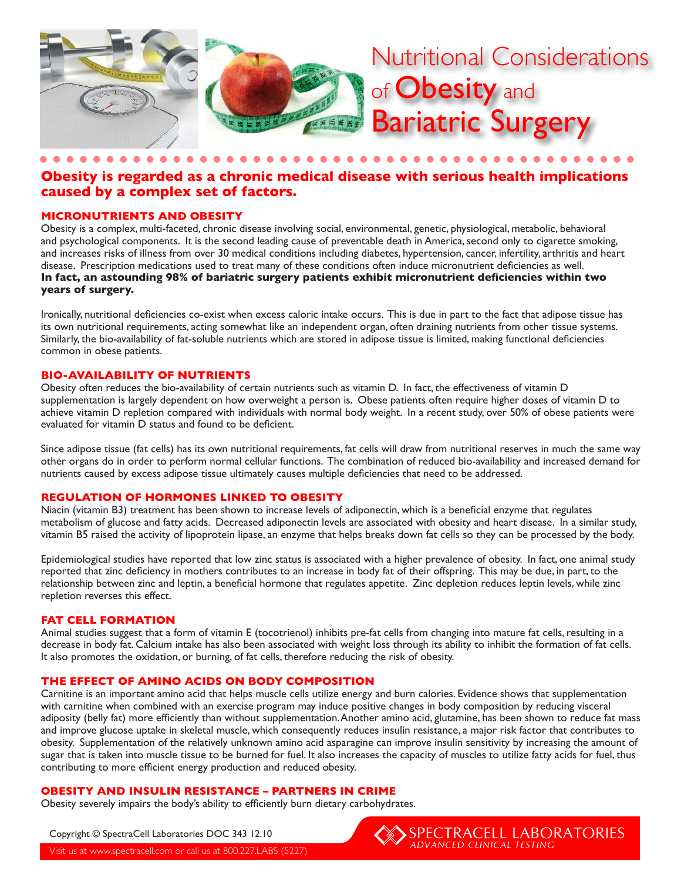

# **Obesity is regarded as a chronic medical disease with serious health implications caused by a complex set of factors.**

# **MICRONUTRIENTS AND OBESITY**

Obesity is a complex, multi-faceted, chronic disease involving social, environmental, genetic, physiological, metabolic, behavioral and psychological components. It is the second leading cause of preventable death in America, second only to cigarette smoking, and increases risks of illness from over 30 medical conditions including diabetes, hypertension, cancer, infertility, arthritis and heart disease. Prescription medications used to treat many of these conditions often induce micronutrient deficiencies as well. **In fact, an astounding 98% of bariatric surgery patients exhibit micronutrient deficiencies within two years of surgery.**

Ironically, nutritional deficiencies co-exist when excess caloric intake occurs. This is due in part to the fact that adipose tissue has its own nutritional requirements, acting somewhat like an independent organ, often draining nutrients from other tissue systems. Similarly, the bio-availability of fat-soluble nutrients which are stored in adipose tissue is limited, making functional deficiencies common in obese patients.

#### **BIO-AVAILABILITY OF NUTRIENTS**

Obesity often reduces the bio-availability of certain nutrients such as vitamin D. In fact, the effectiveness of vitamin D supplementation is largely dependent on how overweight a person is. Obese patients often require higher doses of vitamin D to achieve vitamin D repletion compared with individuals with normal body weight. In a recent study, over 50% of obese patients were evaluated for vitamin D status and found to be deficient.

Since adipose tissue (fat cells) has its own nutritional requirements, fat cells will draw from nutritional reserves in much the same way other organs do in order to perform normal cellular functions. The combination of reduced bio-availability and increased demand for nutrients caused by excess adipose tissue ultimately causes multiple deficiencies that need to be addressed.

### **REGULATION OF HORMONES LINKED TO OBESITY**

Niacin (vitamin B3) treatment has been shown to increase levels of adiponectin, which is a beneficial enzyme that regulates metabolism of glucose and fatty acids. Decreased adiponectin levels are associated with obesity and heart disease. In a similar study, vitamin B5 raised the activity of lipoprotein lipase, an enzyme that helps breaks down fat cells so they can be processed by the body.

Epidemiological studies have reported that low zinc status is associated with a higher prevalence of obesity. In fact, one animal study reported that zinc deficiency in mothers contributes to an increase in body fat of their offspring. This may be due, in part, to the relationship between zinc and leptin, a beneficial hormone that regulates appetite. Zinc depletion reduces leptin levels, while zinc repletion reverses this effect.

#### **FAT CELL FORMATION**

Animal studies suggest that a form of vitamin E (tocotrienol) inhibits pre-fat cells from changing into mature fat cells, resulting in a decrease in body fat. Calcium intake has also been associated with weight loss through its ability to inhibit the formation of fat cells. It also promotes the oxidation, or burning, of fat cells, therefore reducing the risk of obesity.

#### **THE EFFECT OF AMINO ACIDS ON BODY COMPOSITION**

Carnitine is an important amino acid that helps muscle cells utilize energy and burn calories. Evidence shows that supplementation with carnitine when combined with an exercise program may induce positive changes in body composition by reducing visceral adiposity (belly fat) more efficiently than without supplementation. Another amino acid, glutamine, has been shown to reduce fat mass and improve glucose uptake in skeletal muscle, which consequently reduces insulin resistance, a major risk factor that contributes to obesity. Supplementation of the relatively unknown amino acid asparagine can improve insulin sensitivity by increasing the amount of sugar that is taken into muscle tissue to be burned for fuel. It also increases the capacity of muscles to utilize fatty acids for fuel, thus contributing to more efficient energy production and reduced obesity.

# **OBESITY AND INSULIN RESISTANCE – PARTNERS IN CRIME**

Obesity severely impairs the body's ability to efficiently burn dietary carbohydrates.

Copyright © SpectraCell Laboratories DOC 343 12.10

Visit us at www.spectracell.com or call us at 800.227.LABS (5227)